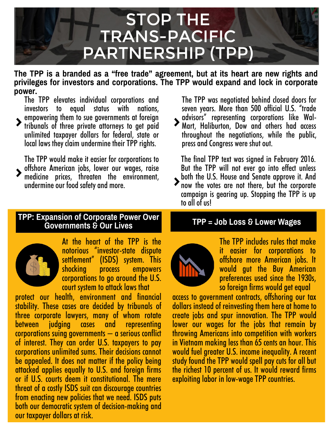# STOP THE TRANS-PACIFIC PARTNERSHIP (TPP)

**The TPP is a branded as a "free trade" agreement, but at its heart are new rights and privileges for investors and corporations. The TPP would expand and lock in corporate power.**

The TPP elevates individual corporations and investors to equal status with nations, empowering them to sue governments at foreign tribunals of three private attorneys to get paid

unlimited taxpayer dollars for federal, state or local laws they claim undermine their TPP rights.

The TPP would make it easier for corporations to offshore American jobs, lower our wages, raise medicine prices, threaten the environment, undermine our food safety and more.

#### **TPP: Expansion of Corporate Power Over Governments & Our Lives**



At the heart of the TPP is the notorious "investor-state dispute settlement" (ISDS) system. This shocking process empowers corporations to go around the U.S. court system to attack laws that

protect our health, environment and financial stability. These cases are decided by tribunals of three corporate lawyers, many of whom rotate between judging cases corporations suing governments  $-$  a serious conflict of interest. They can order U.S. taxpayers to pay corporations unlimited sums. Their decisions cannot be appealed. It does not matter if the policy being attacked applies equally to U.S. and foreign firms or if U.S. courts deem it constitutional. The mere threat of a costly ISDS suit can discourage countries from enacting new policies that we need. ISDS puts both our democratic system of decision-making and our taxpayer dollars at risk.

The TPP was negotiated behind closed doors for seven years. More than 500 official U.S. "trade advisors" representing corporations like Wal-Mart, Haliburton, Dow and others had access throughout the negotiations, while the public, press and Congress were shut out.

The final TPP text was signed in February 2016. But the TPP will not ever go into effect unless both the U.S. House and Senate approve it. And now the votes are not there, but the corporate campaign is gearing up. Stopping the TPP is up to all of usl

#### **TPP = Job Loss & Lower Wages**



The TPP includes rules that make it easier for corporations to offshore more American jobs. It would gut the Buy American preferences used since the 1930s, so foreign firms would get equal

access to government contracts, offshoring our tax dollars instead of reinvesting them here at home to create jobs and spur innovation. The TPP would lower our wages for the jobs that remain by throwing Americans into competition with workers in Vietnam making less than 65 cents an hour. This would fuel greater U.S. income inequality. A recent study found the TPP would spell pay cuts for all but the richest 10 percent of us. It would reward firms exploiting labor in low-wage TPP countries.